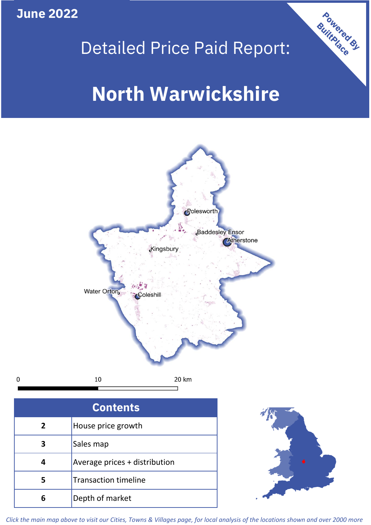**June 2022**

 $\mathbf 0$ 



## Detailed Price Paid Report:

# **North Warwickshire**



| <b>Contents</b> |                               |  |  |
|-----------------|-------------------------------|--|--|
| $\overline{2}$  | House price growth            |  |  |
| 3               | Sales map                     |  |  |
|                 | Average prices + distribution |  |  |
| 5               | <b>Transaction timeline</b>   |  |  |
| հ               | Depth of market               |  |  |



*Click the main map above to visit our Cities, Towns & Villages page, for local analysis of the locations shown and over 2000 more*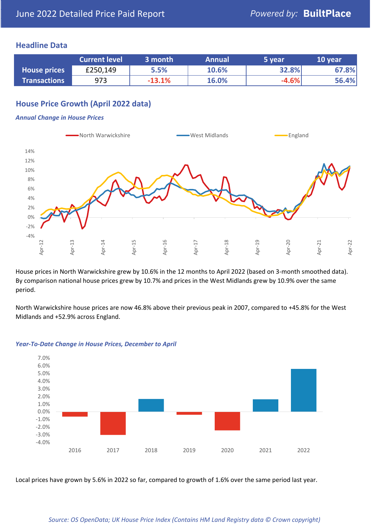## **Headline Data**

|                     | <b>Current level</b> | 3 month  | <b>Annual</b> | 5 year  | 10 year |
|---------------------|----------------------|----------|---------------|---------|---------|
| <b>House prices</b> | £250,149             | 5.5%     | 10.6%         | 32.8%   | 67.8%   |
| <b>Transactions</b> | 973                  | $-13.1%$ | 16.0%         | $-4.6%$ | 56.4%   |

## **House Price Growth (April 2022 data)**

#### *Annual Change in House Prices*



House prices in North Warwickshire grew by 10.6% in the 12 months to April 2022 (based on 3-month smoothed data). By comparison national house prices grew by 10.7% and prices in the West Midlands grew by 10.9% over the same period.

North Warwickshire house prices are now 46.8% above their previous peak in 2007, compared to +45.8% for the West Midlands and +52.9% across England.



#### *Year-To-Date Change in House Prices, December to April*

Local prices have grown by 5.6% in 2022 so far, compared to growth of 1.6% over the same period last year.

#### *Source: OS OpenData; UK House Price Index (Contains HM Land Registry data © Crown copyright)*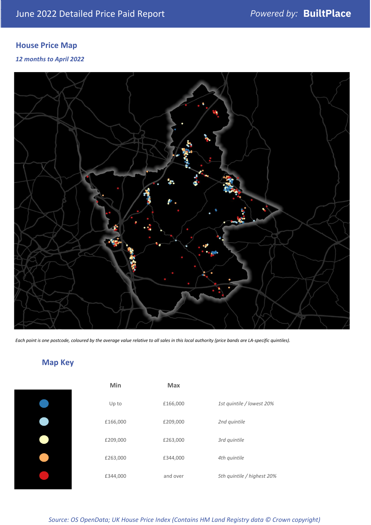## **House Price Map**

### *12 months to April 2022*



*Each point is one postcode, coloured by the average value relative to all sales in this local authority (price bands are LA-specific quintiles).*

## **Map Key**

| Min      | Max      |                            |
|----------|----------|----------------------------|
| Up to    | £166,000 | 1st quintile / lowest 20%  |
| £166,000 | £209,000 | 2nd quintile               |
| £209,000 | £263,000 | 3rd quintile               |
| £263,000 | £344,000 | 4th quintile               |
| £344,000 | and over | 5th quintile / highest 20% |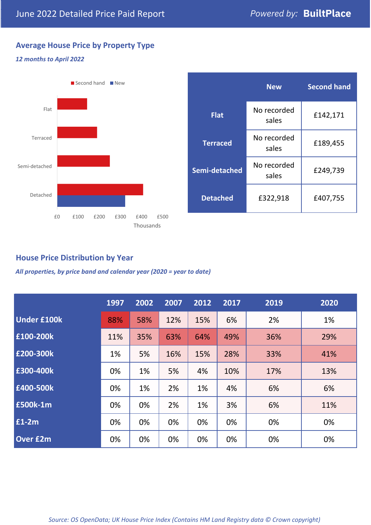## **Average House Price by Property Type**

#### *12 months to April 2022*



|                 | <b>New</b>           | <b>Second hand</b> |  |
|-----------------|----------------------|--------------------|--|
| <b>Flat</b>     | No recorded<br>sales | £142,171           |  |
| <b>Terraced</b> | No recorded<br>sales | £189,455           |  |
| Semi-detached   | No recorded<br>sales | £249,739           |  |
| <b>Detached</b> | £322,918             | £407,755           |  |

## **House Price Distribution by Year**

*All properties, by price band and calendar year (2020 = year to date)*

|                    | 1997 | 2002 | 2007 | 2012 | 2017 | 2019 | 2020 |
|--------------------|------|------|------|------|------|------|------|
| <b>Under £100k</b> | 88%  | 58%  | 12%  | 15%  | 6%   | 2%   | 1%   |
| £100-200k          | 11%  | 35%  | 63%  | 64%  | 49%  | 36%  | 29%  |
| E200-300k          | 1%   | 5%   | 16%  | 15%  | 28%  | 33%  | 41%  |
| £300-400k          | 0%   | 1%   | 5%   | 4%   | 10%  | 17%  | 13%  |
| £400-500k          | 0%   | 1%   | 2%   | 1%   | 4%   | 6%   | 6%   |
| <b>£500k-1m</b>    | 0%   | 0%   | 2%   | 1%   | 3%   | 6%   | 11%  |
| £1-2m              | 0%   | 0%   | 0%   | 0%   | 0%   | 0%   | 0%   |
| <b>Over £2m</b>    | 0%   | 0%   | 0%   | 0%   | 0%   | 0%   | 0%   |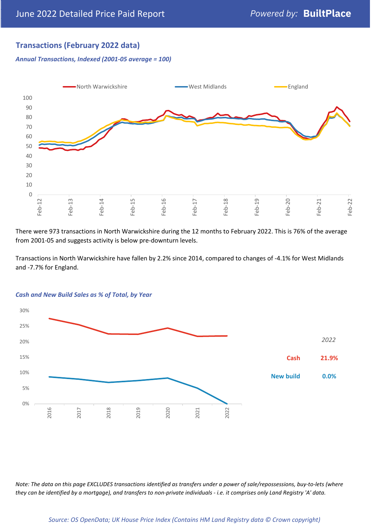## **Transactions (February 2022 data)**

*Annual Transactions, Indexed (2001-05 average = 100)*



There were 973 transactions in North Warwickshire during the 12 months to February 2022. This is 76% of the average from 2001-05 and suggests activity is below pre-downturn levels.

Transactions in North Warwickshire have fallen by 2.2% since 2014, compared to changes of -4.1% for West Midlands and -7.7% for England.



#### *Cash and New Build Sales as % of Total, by Year*

*Note: The data on this page EXCLUDES transactions identified as transfers under a power of sale/repossessions, buy-to-lets (where they can be identified by a mortgage), and transfers to non-private individuals - i.e. it comprises only Land Registry 'A' data.*